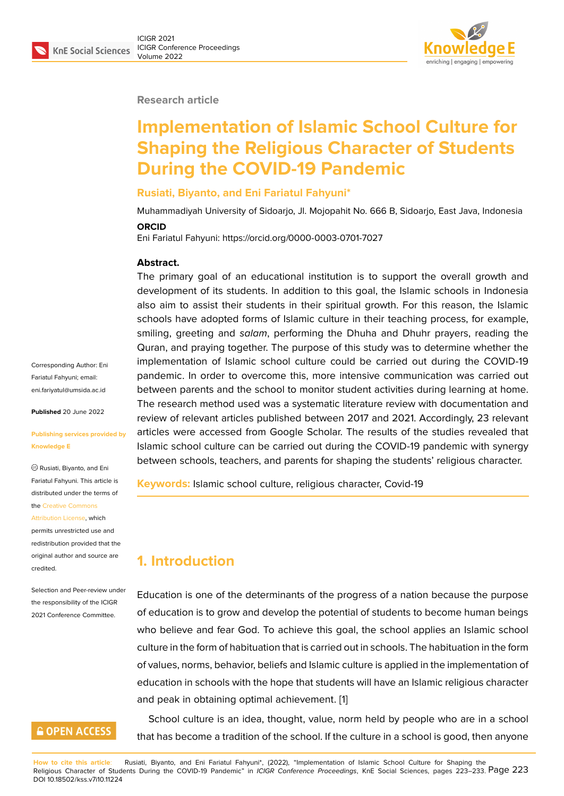#### **Research article**

# **Implementation of Islamic School Culture for Shaping the Religious Character of Students During the COVID-19 Pandemic**

#### **Rusiati, Biyanto, and Eni Fariatul Fahyuni\***

Muhammadiyah University of Sidoarjo, Jl. Mojopahit No. 666 B, Sidoarjo, East Java, Indonesia

#### **ORCID**

Eni Fariatul Fahyuni: https://orcid.org/0000-0003-0701-7027

#### **Abstract.**

The primary goal of an educational institution is to support the overall growth and development of its students. In addition to this goal, the Islamic schools in Indonesia also aim to assist their students in their spiritual growth. For this reason, the Islamic schools have adopted forms of Islamic culture in their teaching process, for example, smiling, greeting and *salam*, performing the Dhuha and Dhuhr prayers, reading the Quran, and praying together. The purpose of this study was to determine whether the implementation of Islamic school culture could be carried out during the COVID-19 pandemic. In order to overcome this, more intensive communication was carried out between parents and the school to monitor student activities during learning at home. The research method used was a systematic literature review with documentation and review of relevant articles published between 2017 and 2021. Accordingly, 23 relevant articles were accessed from Google Scholar. The results of the studies revealed that Islamic school culture can be carried out during the COVID-19 pandemic with synergy between schools, teachers, and parents for shaping the students' religious character.

**Keywords:** Islamic school culture, religious character, Covid-19

# **1. Introduction**

Education is one of the determinants of the progress of a nation because the purpose of education is to grow and develop the potential of students to become human beings who believe and fear God. To achieve this goal, the school applies an Islamic school culture in the form of habituation that is carried out in schools. The habituation in the form of values, norms, behavior, beliefs and Islamic culture is applied in the implementation of education in schools with the hope that students will have an Islamic religious character and peak in obtaining optimal achievement. [1]

School culture is an idea, thought, value, norm held by people who are in a school that has become a tradition of the school. If th[e](#page-8-0) culture in a school is good, then anyone

Corresponding Author: Eni Fariatul Fahyuni; email: eni.fariyatul@umsida.ac.id

**Published** 20 June 2022

#### **[Publishing services provi](mailto:eni.fariyatul@umsida.ac.id)ded by Knowledge E**

Rusiati, Biyanto, and Eni Fariatul Fahyuni. This article is distributed under the terms of the Creative Commons

#### Attribution License, which

permits unrestricted use and redistribution provided that the orig[inal author and sou](https://creativecommons.org/licenses/by/4.0/)rce are [credited.](https://creativecommons.org/licenses/by/4.0/)

Selection and Peer-review under the responsibility of the ICIGR 2021 Conference Committee.

### **GOPEN ACCESS**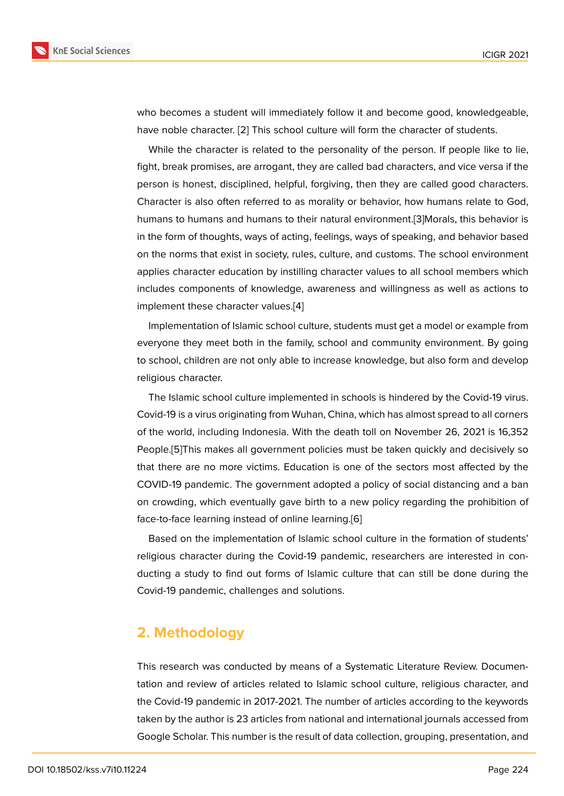who becomes a student will immediately follow it and become good, knowledgeable, have noble character. [2] This school culture will form the character of students.

While the character is related to the personality of the person. If people like to lie, fight, break promises, are arrogant, they are called bad characters, and vice versa if the person is honest, disc[ip](#page-9-0)lined, helpful, forgiving, then they are called good characters. Character is also often referred to as morality or behavior, how humans relate to God, humans to humans and humans to their natural environment.[3]Morals, this behavior is in the form of thoughts, ways of acting, feelings, ways of speaking, and behavior based on the norms that exist in society, rules, culture, and customs. The school environment applies character education by instilling character values to a[ll](#page-9-1) school members which includes components of knowledge, awareness and willingness as well as actions to implement these character values.[4]

Implementation of Islamic school culture, students must get a model or example from everyone they meet both in the family, school and community environment. By going to school, children are not only abl[e](#page-9-2) to increase knowledge, but also form and develop religious character.

The Islamic school culture implemented in schools is hindered by the Covid-19 virus. Covid-19 is a virus originating from Wuhan, China, which has almost spread to all corners of the world, including Indonesia. With the death toll on November 26, 2021 is 16,352 People.[5]This makes all government policies must be taken quickly and decisively so that there are no more victims. Education is one of the sectors most affected by the COVID-19 pandemic. The government adopted a policy of social distancing and a ban on crow[di](#page-9-3)ng, which eventually gave birth to a new policy regarding the prohibition of face-to-face learning instead of online learning.[6]

Based on the implementation of Islamic school culture in the formation of students' religious character during the Covid-19 pandemic, researchers are interested in conducting a study to find out forms of Islamic c[ultu](#page-9-4)re that can still be done during the Covid-19 pandemic, challenges and solutions.

### **2. Methodology**

This research was conducted by means of a Systematic Literature Review. Documentation and review of articles related to Islamic school culture, religious character, and the Covid-19 pandemic in 2017-2021. The number of articles according to the keywords taken by the author is 23 articles from national and international journals accessed from Google Scholar. This number is the result of data collection, grouping, presentation, and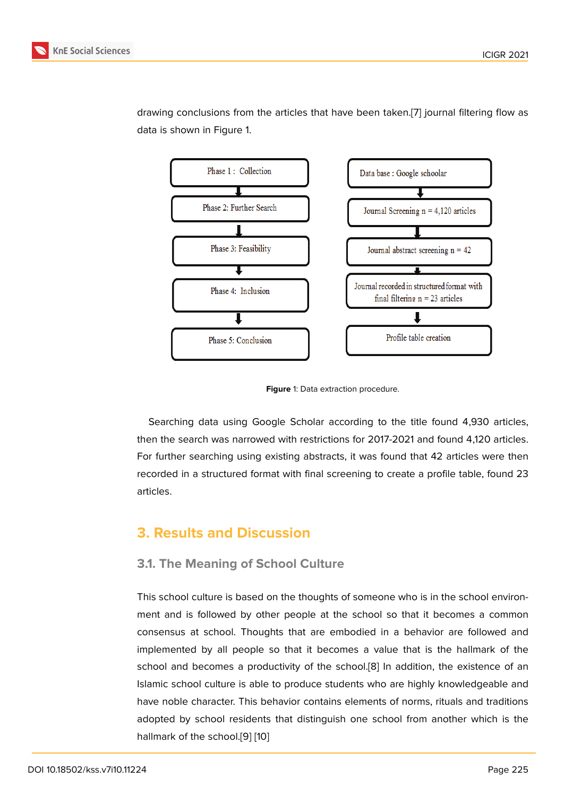

drawing conclusions from the articles that have been taken.[7] journal filtering flow as data is shown in Figure 1.

**Figure** 1: Data extraction procedure.

Searching data using Google Scholar according to the title found 4,930 articles, then the search was narrowed with restrictions for 2017-2021 and found 4,120 articles. For further searching using existing abstracts, it was found that 42 articles were then recorded in a structured format with final screening to create a profile table, found 23 articles.

### **3. Results and Discussion**

#### **3.1. The Meaning of School Culture**

This school culture is based on the thoughts of someone who is in the school environment and is followed by other people at the school so that it becomes a common consensus at school. Thoughts that are embodied in a behavior are followed and implemented by all people so that it becomes a value that is the hallmark of the school and becomes a productivity of the school.[8] In addition, the existence of an Islamic school culture is able to produce students who are highly knowledgeable and have noble character. This behavior contains elements of norms, rituals and traditions adopted by school residents that distinguish one [s](#page-9-5)chool from another which is the hallmark of the school.[9] [10]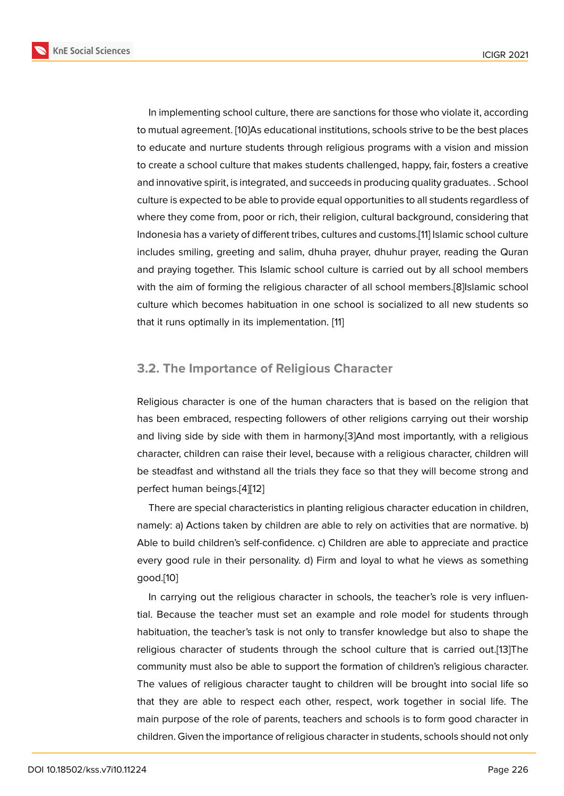In implementing school culture, there are sanctions for those who violate it, according to mutual agreement. [10]As educational institutions, schools strive to be the best places to educate and nurture students through religious programs with a vision and mission to create a school culture that makes students challenged, happy, fair, fosters a creative and innovative spirit, i[s in](#page-9-6)tegrated, and succeeds in producing quality graduates. . School culture is expected to be able to provide equal opportunities to all students regardless of where they come from, poor or rich, their religion, cultural background, considering that Indonesia has a variety of different tribes, cultures and customs.[11] Islamic school culture includes smiling, greeting and salim, dhuha prayer, dhuhur prayer, reading the Quran and praying together. This Islamic school culture is carried out by all school members with the aim of forming the religious character of all school m[em](#page-9-7)bers.[8]Islamic school culture which becomes habituation in one school is socialized to all new students so that it runs optimally in its implementation. [11]

#### **3.2. The Importance of Religious [C](#page-9-7)haracter**

Religious character is one of the human characters that is based on the religion that has been embraced, respecting followers of other religions carrying out their worship and living side by side with them in harmony.[3]And most importantly, with a religious character, children can raise their level, because with a religious character, children will be steadfast and withstand all the trials they face so that they will become strong and perfect human beings.[4][12]

There are special characteristics in planting religious character education in children, namely: a) Actions taken by children are able to rely on activities that are normative. b) Able to build children's [s](#page-9-2)[elf-](#page-9-8)confidence. c) Children are able to appreciate and practice every good rule in their personality. d) Firm and loyal to what he views as something good.[10]

In carrying out the religious character in schools, the teacher's role is very influential. Because the teacher must set an example and role model for students through habitu[ati](#page-9-6)on, the teacher's task is not only to transfer knowledge but also to shape the religious character of students through the school culture that is carried out.[13]The community must also be able to support the formation of children's religious character. The values of religious character taught to children will be brought into social life so that they are able to respect each other, respect, work together in social lif[e.](#page-9-9) The main purpose of the role of parents, teachers and schools is to form good character in children. Given the importance of religious character in students, schools should not only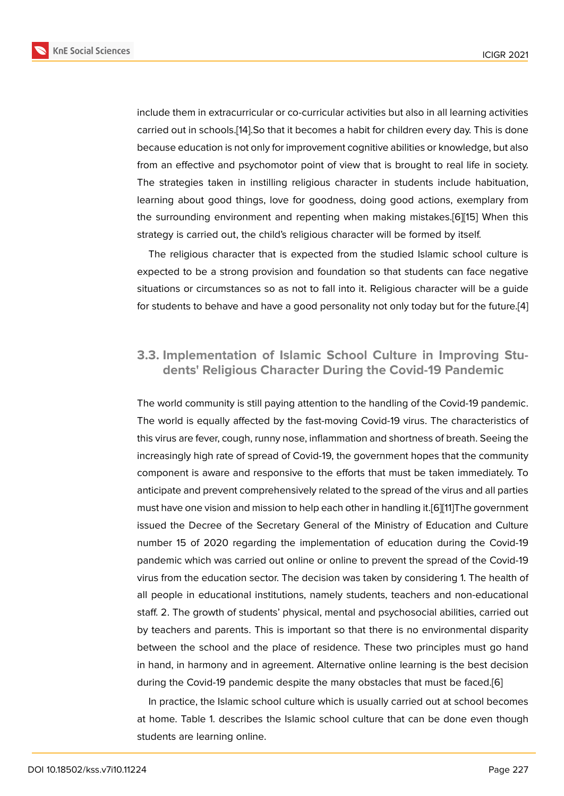include them in extracurricular or co-curricular activities but also in all learning activities carried out in schools.[14].So that it becomes a habit for children every day. This is done because education is not only for improvement cognitive abilities or knowledge, but also from an effective and psychomotor point of view that is brought to real life in society. The strategies taken [in](#page-10-0) instilling religious character in students include habituation, learning about good things, love for goodness, doing good actions, exemplary from the surrounding environment and repenting when making mistakes.[6][15] When this strategy is carried out, the child's religious character will be formed by itself.

The religious character that is expected from the studied Islamic school culture is expected to be a strong provision and foundation so that students c[an](#page-9-4) [fac](#page-10-1)e negative situations or circumstances so as not to fall into it. Religious character will be a guide for students to behave and have a good personality not only today but for the future.[4]

### **3.3. Implementation of Islamic School Culture in Improving St[u](#page-9-2)dents' Religious Character During the Covid-19 Pandemic**

The world community is still paying attention to the handling of the Covid-19 pandemic. The world is equally affected by the fast-moving Covid-19 virus. The characteristics of this virus are fever, cough, runny nose, inflammation and shortness of breath. Seeing the increasingly high rate of spread of Covid-19, the government hopes that the community component is aware and responsive to the efforts that must be taken immediately. To anticipate and prevent comprehensively related to the spread of the virus and all parties must have one vision and mission to help each other in handling it.[6][11]The government issued the Decree of the Secretary General of the Ministry of Education and Culture number 15 of 2020 regarding the implementation of education during the Covid-19 pandemic which was carried out online or online to prevent the s[pr](#page-9-4)[ea](#page-9-7)d of the Covid-19 virus from the education sector. The decision was taken by considering 1. The health of all people in educational institutions, namely students, teachers and non-educational staff. 2. The growth of students' physical, mental and psychosocial abilities, carried out by teachers and parents. This is important so that there is no environmental disparity between the school and the place of residence. These two principles must go hand in hand, in harmony and in agreement. Alternative online learning is the best decision during the Covid-19 pandemic despite the many obstacles that must be faced.[6]

In practice, the Islamic school culture which is usually carried out at school becomes at home. Table 1. describes the Islamic school culture that can be done even though students are learning online.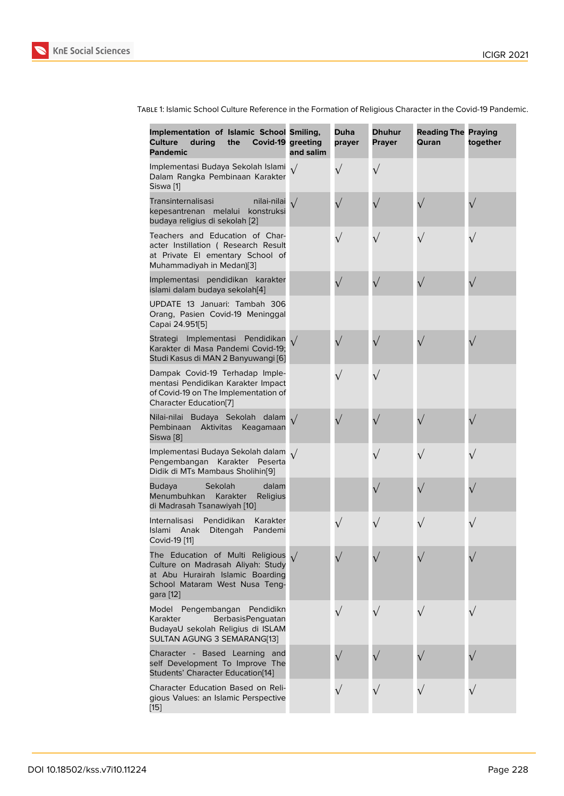| Implementation of Islamic School Smiling,<br><b>Culture</b><br>during<br>the<br>Covid-19 greeting<br><b>Pandemic</b>                                               | and salim  | <b>Duha</b><br>prayer | <b>Dhuhur</b><br><b>Prayer</b> | <b>Reading The Praying</b><br>Quran | together  |
|--------------------------------------------------------------------------------------------------------------------------------------------------------------------|------------|-----------------------|--------------------------------|-------------------------------------|-----------|
| Implementasi Budaya Sekolah Islami 1/<br>Dalam Rangka Pembinaan Karakter<br>Siswa <sup>[1]</sup>                                                                   |            | $\sqrt{}$             | $\sqrt{}$                      |                                     |           |
| Transinternalisasi<br>nilai-nilai<br>kepesantrenan melalui<br>konstruksi<br>budaya religius di sekolah [2]                                                         | $\sqrt{ }$ | $\sqrt{}$             | $\sqrt{}$                      |                                     |           |
| Teachers and Education of Char-<br>acter Instillation ( Research Result<br>at Private El ementary School of<br>Muhammadiyah in Medan)[3]                           |            | $\sqrt{}$             | $\sqrt{}$                      |                                     | $\sqrt{}$ |
| Implementasi pendidikan karakter<br>islami dalam budaya sekolah[4]                                                                                                 |            | $\sqrt{}$             | $\sqrt{}$                      |                                     | $\sqrt{}$ |
| UPDATE 13 Januari: Tambah 306<br>Orang, Pasien Covid-19 Meninggal<br>Capai 24.951[5]                                                                               |            |                       |                                |                                     |           |
| Strategi Implementasi Pendidikan $\sqrt{}$<br>Karakter di Masa Pandemi Covid-19;<br>Studi Kasus di MAN 2 Banyuwangi [6]                                            |            | $\sqrt{}$             | $\sqrt{}$                      |                                     |           |
| Dampak Covid-19 Terhadap Imple-<br>mentasi Pendidikan Karakter Impact<br>of Covid-19 on The Implementation of<br>Character Education[7]                            |            | $\sqrt{}$             | $\sqrt{}$                      |                                     |           |
| Nilai-nilai Budaya Sekolah dalam<br>Pembinaan<br>Aktivitas<br>Keagamaan<br>Siswa [8]                                                                               |            | $\sqrt{}$             | $\sqrt{}$                      |                                     |           |
| Implementasi Budaya Sekolah dalam<br>Pengembangan Karakter Peserta<br>Didik di MTs Mambaus Sholihin[9]                                                             | $\sqrt{ }$ |                       | $\sqrt{}$                      |                                     |           |
| dalam<br><b>Budaya</b><br>Sekolah<br>Menumbuhkan<br>Karakter<br>Religius<br>di Madrasah Tsanawiyah [10]                                                            |            |                       | $\sqrt{}$                      |                                     |           |
| Internalisasi<br>Pendidikan<br>Karakter<br>Islami<br>Anak<br>Ditengah<br>Pandemi<br>Covid-19 [11]                                                                  |            | $\sqrt{}$             | $\sqrt{}$                      |                                     | $\sqrt{}$ |
| The Education of Multi Religious $\sqrt{}$<br>Culture on Madrasah Aliyah: Study<br>at Abu Hurairah Islamic Boarding<br>School Mataram West Nusa Teng-<br>gara [12] |            |                       |                                |                                     |           |
| Model Pengembangan<br>Pendidikn<br>Karakter<br>BerbasisPenguatan<br>BudayaU sekolah Religius di ISLAM<br>SULTAN AGUNG 3 SEMARANG[13]                               |            | $\sqrt{}$             |                                |                                     |           |
| Character - Based Learning and<br>self Development To Improve The<br>Students' Character Education[14]                                                             |            |                       |                                |                                     |           |
| Character Education Based on Reli-<br>gious Values: an Islamic Perspective<br>$[15]$                                                                               |            | $\sqrt{}$             |                                |                                     | $\sqrt{}$ |

Table 1: Islamic School Culture Reference in the Formation of Religious Character in the Covid-19 Pandemic.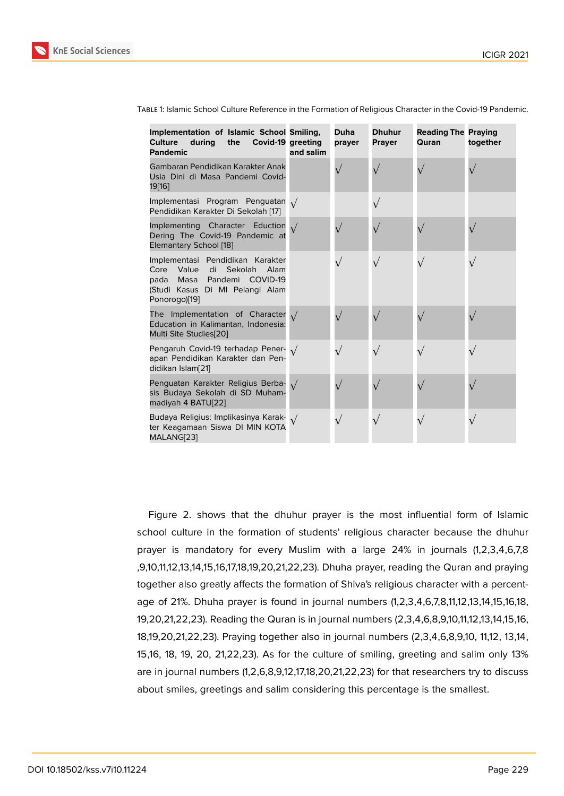| Implementation of Islamic School Smiling,<br>Culture<br>during<br>the<br>Covid-19 greeting<br><b>Pandemic</b>                                                          | and salim | <b>Duha</b><br>prayer | <b>Dhuhur</b><br><b>Prayer</b> | <b>Reading The Praying</b><br>Quran | together |
|------------------------------------------------------------------------------------------------------------------------------------------------------------------------|-----------|-----------------------|--------------------------------|-------------------------------------|----------|
| Gambaran Pendidikan Karakter Anak<br>Usia Dini di Masa Pandemi Covid-<br>19[16]                                                                                        |           |                       |                                |                                     |          |
| Implementasi Program Penguatan $\sqrt{}$<br>Pendidikan Karakter Di Sekolah [17]                                                                                        |           |                       | $\sqrt{}$                      |                                     |          |
| Implementing Character Eduction $\sqrt{}$<br>Dering The Covid-19 Pandemic at<br>Elemantary School [18]                                                                 |           |                       |                                |                                     |          |
| Implementasi Pendidikan Karakter<br>Value<br>di<br><b>Sekolah</b><br>Alam<br>Core<br>Masa Pandemi COVID-19<br>pada<br>(Studi Kasus Di MI Pelangi Alam<br>Ponorogo)[19] |           |                       | $\sqrt{}$                      | $\sqrt{}$                           |          |
| The Implementation of Character $\sqrt{}$<br>Education in Kalimantan, Indonesia:<br>Multi Site Studies[20]                                                             |           |                       |                                |                                     |          |
| Pengaruh Covid-19 terhadap Pener- $\sqrt{}$<br>apan Pendidikan Karakter dan Pen-<br>didikan Islam[21]                                                                  |           |                       | $\sqrt{}$                      | $\sqrt{}$                           |          |
| Penguatan Karakter Religius Berba-<br>sis Budaya Sekolah di SD Muham-<br>madiyah 4 BATU[22]                                                                            |           |                       |                                |                                     |          |
| Budaya Religius: Implikasinya Karak- $\sqrt{}$<br>ter Keagamaan Siswa DI MIN KOTA<br>MALANG[23]                                                                        |           |                       | $\sqrt{}$                      | $\sqrt{}$                           |          |

Table 1: Islamic School Culture Reference in the Formation of Religious Character in the Covid-19 Pandemic.

Figure 2. shows that the dhuhur prayer is the most influential form of Islamic school culture in the formation of students' religious character because the dhuhur prayer is mandatory for every Muslim with a large 24% in journals (1,2,3,4,6,7,8 ,9,10,11,12,[13](#page-7-0),14,15,16,17,18,19,20,21,22,23). Dhuha prayer, reading the Quran and praying together also greatly affects the formation of Shiva's religious character with a percentage of 21%. Dhuha prayer is found in journal numbers (1,2,3,4,6,7,8,11,12,13,14,15,16,18, 19,20,21,22,23). Reading the Quran is in journal numbers (2,3,4,6,8,9,10,11,12,13,14,15,16, 18,19,20,21,22,23). Praying together also in journal numbers (2,3,4,6,8,9,10, 11,12, 13,14, 15,16, 18, 19, 20, 21,22,23). As for the culture of smiling, greeting and salim only 13% are in journal numbers (1,2,6,8,9,12,17,18,20,21,22,23) for that researchers try to discuss about smiles, greetings and salim considering this percentage is the smallest.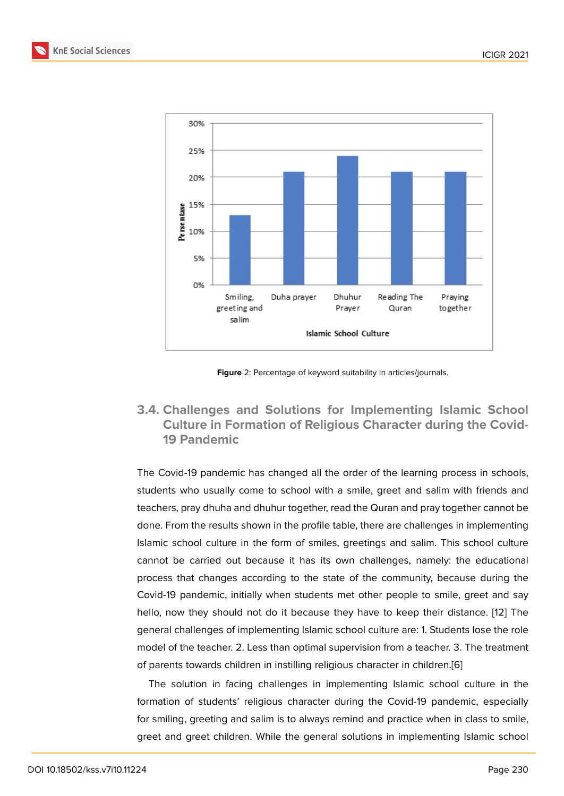

<span id="page-7-0"></span>**Figure** 2: Percentage of keyword suitability in articles/journals.

### **3.4. Challenges and Solutions for Implementing Islamic School Culture in Formation of Religious Character during the Covid-19 Pandemic**

The Covid-19 pandemic has changed all the order of the learning process in schools, students who usually come to school with a smile, greet and salim with friends and teachers, pray dhuha and dhuhur together, read the Quran and pray together cannot be done. From the results shown in the profile table, there are challenges in implementing Islamic school culture in the form of smiles, greetings and salim. This school culture cannot be carried out because it has its own challenges, namely: the educational process that changes according to the state of the community, because during the Covid-19 pandemic, initially when students met other people to smile, greet and say hello, now they should not do it because they have to keep their distance. [12] The general challenges of implementing Islamic school culture are: 1. Students lose the role model of the teacher. 2. Less than optimal supervision from a teacher. 3. The treatment of parents towards children in instilling religious character in children.[6]

The solution in facing challenges in implementing Islamic school culture in the formation of students' religious character during the Covid-19 pandemic, especially for smiling, greeting and salim is to always remind and practice when [in](#page-9-4) class to smile, greet and greet children. While the general solutions in implementing Islamic school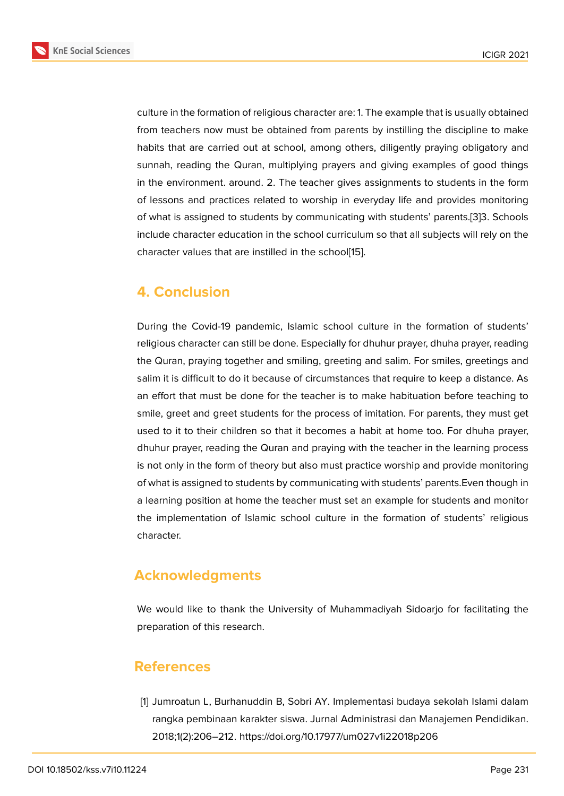culture in the formation of religious character are: 1. The example that is usually obtained from teachers now must be obtained from parents by instilling the discipline to make habits that are carried out at school, among others, diligently praying obligatory and sunnah, reading the Quran, multiplying prayers and giving examples of good things in the environment. around. 2. The teacher gives assignments to students in the form of lessons and practices related to worship in everyday life and provides monitoring of what is assigned to students by communicating with students' parents.[3]3. Schools include character education in the school curriculum so that all subjects will rely on the character values that are instilled in the school[15].

# **4. Conclusion**

During the Covid-19 pandemic, Islamic school culture in the formation of students' religious character can still be done. Especially for dhuhur prayer, dhuha prayer, reading the Quran, praying together and smiling, greeting and salim. For smiles, greetings and salim it is difficult to do it because of circumstances that require to keep a distance. As an effort that must be done for the teacher is to make habituation before teaching to smile, greet and greet students for the process of imitation. For parents, they must get used to it to their children so that it becomes a habit at home too. For dhuha prayer, dhuhur prayer, reading the Quran and praying with the teacher in the learning process is not only in the form of theory but also must practice worship and provide monitoring of what is assigned to students by communicating with students' parents.Even though in a learning position at home the teacher must set an example for students and monitor the implementation of Islamic school culture in the formation of students' religious character.

# **Acknowledgments**

We would like to thank the University of Muhammadiyah Sidoarjo for facilitating the preparation of this research.

### **References**

<span id="page-8-0"></span>[1] Jumroatun L, Burhanuddin B, Sobri AY. Implementasi budaya sekolah Islami dalam rangka pembinaan karakter siswa. Jurnal Administrasi dan Manajemen Pendidikan. 2018;1(2):206–212. https://doi.org/10.17977/um027v1i22018p206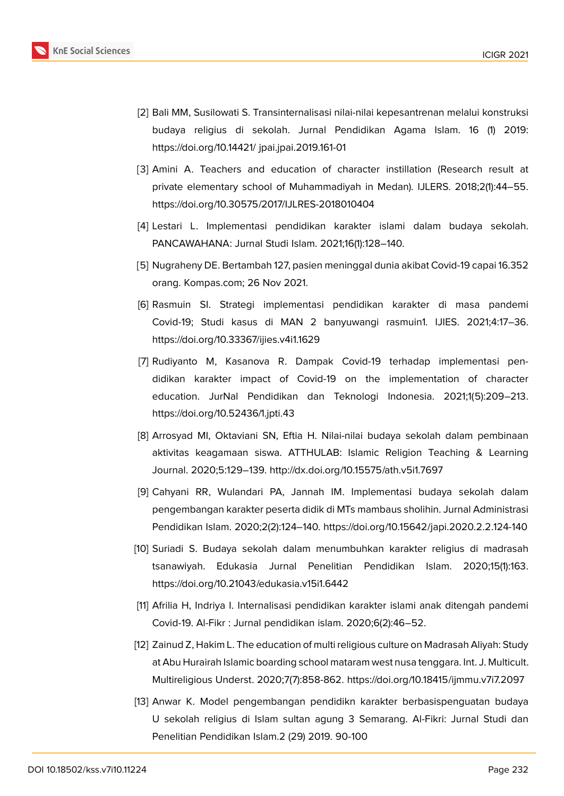

- <span id="page-9-0"></span>[2] Bali MM, Susilowati S. Transinternalisasi nilai-nilai kepesantrenan melalui konstruksi budaya religius di sekolah. Jurnal Pendidikan Agama Islam. 16 (1) 2019: https://doi.org/10.14421/ jpai.jpai.2019.161-01
- <span id="page-9-1"></span>[3] Amini A. Teachers and education of character instillation (Research result at private elementary school of Muhammadiyah in Medan). IJLERS. 2018;2(1):44–55. https://doi.org/10.30575/2017/IJLRES-2018010404
- <span id="page-9-2"></span>[4] Lestari L. Implementasi pendidikan karakter islami dalam budaya sekolah. PANCAWAHANA: Jurnal Studi Islam. 2021;16(1):128–140.
- <span id="page-9-3"></span>[5] Nugraheny DE. Bertambah 127, pasien meninggal dunia akibat Covid-19 capai 16.352 orang. Kompas.com; 26 Nov 2021.
- <span id="page-9-4"></span>[6] Rasmuin SI. Strategi implementasi pendidikan karakter di masa pandemi Covid-19; Studi kasus di MAN 2 banyuwangi rasmuin1. IJIES. 2021;4:17–36. https://doi.org/10.33367/ijies.v4i1.1629
- <span id="page-9-10"></span>[7] Rudiyanto M, Kasanova R. Dampak Covid-19 terhadap implementasi pendidikan karakter impact of Covid-19 on the implementation of character education. JurNal Pendidikan dan Teknologi Indonesia. 2021;1(5):209–213. https://doi.org/10.52436/1.jpti.43
- <span id="page-9-5"></span>[8] Arrosyad MI, Oktaviani SN, Eftia H. Nilai-nilai budaya sekolah dalam pembinaan aktivitas keagamaan siswa. ATTHULAB: Islamic Religion Teaching & Learning Journal. 2020;5:129–139. http://dx.doi.org/10.15575/ath.v5i1.7697
- <span id="page-9-11"></span>[9] Cahyani RR, Wulandari PA, Jannah IM. Implementasi budaya sekolah dalam pengembangan karakter peserta didik di MTs mambaus sholihin. Jurnal Administrasi Pendidikan Islam. 2020;2(2):124–140. https://doi.org/10.15642/japi.2020.2.2.124-140
- <span id="page-9-6"></span>[10] Suriadi S. Budaya sekolah dalam menumbuhkan karakter religius di madrasah tsanawiyah. Edukasia Jurnal Penelitian Pendidikan Islam. 2020;15(1):163. https://doi.org/10.21043/edukasia.v15i1.6442
- <span id="page-9-7"></span>[11] Afrilia H, Indriya I. Internalisasi pendidikan karakter islami anak ditengah pandemi Covid-19. Al-Fikr : Jurnal pendidikan islam. 2020;6(2):46–52.
- <span id="page-9-8"></span>[12] Zainud Z, Hakim L. The education of multi religious culture on Madrasah Aliyah: Study at Abu Hurairah Islamic boarding school mataram west nusa tenggara. Int. J. Multicult. Multireligious Underst. 2020;7(7):858-862. https://doi.org/10.18415/ijmmu.v7i7.2097
- <span id="page-9-9"></span>[13] Anwar K. Model pengembangan pendidikn karakter berbasispenguatan budaya U sekolah religius di Islam sultan agung 3 Semarang. Al-Fikri: Jurnal Studi dan Penelitian Pendidikan Islam.2 (29) 2019. 90-100